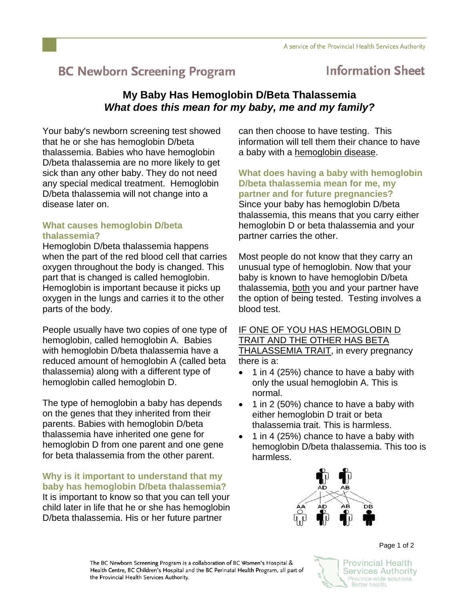# **BC Newborn Screening Program**

## **Information Sheet**

### **My Baby Has Hemoglobin D/Beta Thalassemia**  *What does this mean for my baby, me and my family?*

Your baby's newborn screening test showed that he or she has hemoglobin D/beta thalassemia. Babies who have hemoglobin D/beta thalassemia are no more likely to get sick than any other baby. They do not need any special medical treatment. Hemoglobin D/beta thalassemia will not change into a disease later on.

#### **What causes hemoglobin D/beta thalassemia?**

Hemoglobin D/beta thalassemia happens when the part of the red blood cell that carries oxygen throughout the body is changed. This part that is changed is called hemoglobin. Hemoglobin is important because it picks up oxygen in the lungs and carries it to the other parts of the body.

People usually have two copies of one type of hemoglobin, called hemoglobin A. Babies with hemoglobin D/beta thalassemia have a reduced amount of hemoglobin A (called beta thalassemia) along with a different type of hemoglobin called hemoglobin D.

The type of hemoglobin a baby has depends on the genes that they inherited from their parents. Babies with hemoglobin D/beta thalassemia have inherited one gene for hemoglobin D from one parent and one gene for beta thalassemia from the other parent.

**Why is it important to understand that my baby has hemoglobin D/beta thalassemia?**  It is important to know so that you can tell your child later in life that he or she has hemoglobin D/beta thalassemia. His or her future partner

can then choose to have testing. This information will tell them their chance to have a baby with a hemoglobin disease.

**What does having a baby with hemoglobin D/beta thalassemia mean for me, my partner and for future pregnancies?** Since your baby has hemoglobin D/beta thalassemia, this means that you carry either hemoglobin D or beta thalassemia and your partner carries the other.

Most people do not know that they carry an unusual type of hemoglobin. Now that your baby is known to have hemoglobin D/beta thalassemia, both you and your partner have the option of being tested. Testing involves a blood test.

IF ONE OF YOU HAS HEMOGLOBIN D TRAIT AND THE OTHER HAS BETA THALASSEMIA TRAIT, in every pregnancy there is a:

- 1 in 4 (25%) chance to have a baby with only the usual hemoglobin A. This is normal.
- 1 in 2 (50%) chance to have a baby with either hemoglobin D trait or beta thalassemia trait. This is harmless.
- 1 in 4 (25%) chance to have a baby with hemoglobin D/beta thalassemia. This too is harmless.



**Provincial Health Services Authority** Province-wide solutions. Better health.

Page 1 of 2

The BC Newborn Screening Program is a collaboration of BC Women's Hospital & Health Centre, BC Children's Hospital and the BC Perinatal Health Program, all part of the Provincial Health Services Authority.